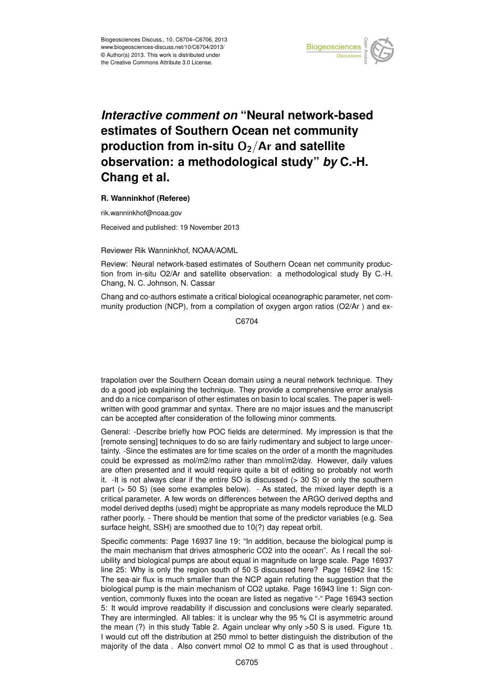

## Earth System estimates of Southern Ocean net community )<br>כ  $\overline{a}$ *Interactive comment on "Neural network-based* production from in-situ O<sub>2</sub>/Ar and satellite geolation. Instrumentation  $\overline{\phantom{a}}$  $F \circ F$ Instrumentation **observation: a methodological study"** *by* **C.-H.**  $\overline{\phantom{a}}$ **Chang et al.**

## **R. Wanninkhof (Referee)**

rik.wanninkhof@noaa.gov

Received and published: 19 November 2013

Reviewer Rik Wanninkhof, NOAA/AOML  $\frac{1}{2}$ 

Review: Neural network-based estimates of Southern Ocean net community produc-Open Access tion from in-situ O2/Ar and satellite observation: a methodological study By C.-H.  $\frac{1}{k}$ n<br>n Chang, N. C. Johnson, N. Cassar

Cocean Science<br>Chang and co-authors estimate a critical biological oceanographic parameter, net community production (NCP), from a compilation of oxygen argon ratios (O2/Ar ) and ex-

> C<br>C C6704

n<br>Open Access Open Access trapolation over the Southern Ocean domain using a neural network technique. They do a good job explaining the technique. They provide a comprehensive error analysis and do a nice comparison of other estimates on basin to local scales. The paper is wellwritten with good grammar and syntax. There are no major issues and the manuscript can be accepted after consideration of the following minor comments.

General: -Describe briefly how POC fields are determined. My impression is that the [remote sensing] techniques to do so are fairly rudimentary and subject to large uncertainty. -Since the estimates are for time scales on the order of a month the magnitudes could be expressed as mol/m2/mo rather than mmol/m2/day. However, daily values are often presented and it would require quite a bit of editing so probably not worth it.  $-l$ t is not always clear if the entire SO is discussed  $(> 30 S)$  or only the southern part (> 50 S) (see some examples below). - As stated, the mixed layer depth is a critical parameter. A few words on differences between the ARGO derived depths and model derived depths (used) might be appropriate as many models reproduce the MLD rather poorly. - There should be mention that some of the predictor variables (e.g. Sea surface height, SSH) are smoothed due to 10(?) day repeat orbit.

Specific comments: Page 16937 line 19: "In addition, because the biological pump is the main mechanism that drives atmospheric CO2 into the ocean". As I recall the solubility and biological pumps are about equal in magnitude on large scale. Page 16937 line 25: Why is only the region south of 50 S discussed here? Page 16942 line 15: The sea-air flux is much smaller than the NCP again refuting the suggestion that the biological pump is the main mechanism of CO2 uptake. Page 16943 line 1: Sign convention, commonly fluxes into the ocean are listed as negative "-" Page 16943 section 5: It would improve readability if discussion and conclusions were clearly separated. They are intermingled. All tables: it is unclear why the 95 % CI is asymmetric around the mean (?) in this study Table 2. Again unclear why only >50 S is used. Figure 1b. I would cut off the distribution at 250 mmol to better distinguish the distribution of the majority of the data . Also convert mmol O2 to mmol C as that is used throughout .